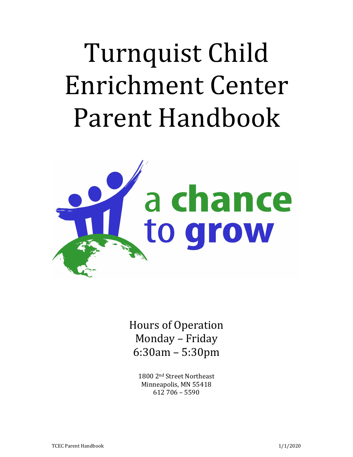# Turnquist Child Enrichment Center Parent Handbook



Hours of Operation Monday - Friday 6:30am – 5:30pm

1800 2<sup>nd</sup> Street Northeast Minneapolis, MN 55418  $612\,706 - 5590$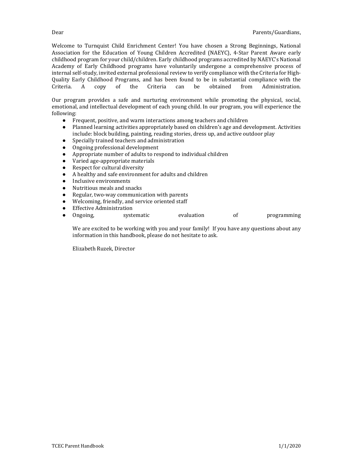Welcome to Turnquist Child Enrichment Center! You have chosen a Strong Beginnings, National Association for the Education of Young Children Accredited (NAEYC), 4-Star Parent Aware early childhood program for your child/children. Early childhood programs accredited by NAEYC's National Academy of Early Childhood programs have voluntarily undergone a comprehensive process of internal self-study, invited external professional review to verify compliance with the Criteria for High-Quality Early Childhood Programs, and has been found to be in substantial compliance with the Criteria. A copy of the Criteria can be obtained from Administration.

Our program provides a safe and nurturing environment while promoting the physical, social, emotional, and intellectual development of each young child. In our program, you will experience the following: 

- Frequent, positive, and warm interactions among teachers and children
- Planned learning activities appropriately based on children's age and development. Activities include: block building, painting, reading stories, dress up, and active outdoor play
- Specially trained teachers and administration
- Ongoing professional development
- $\bullet$  Appropriate number of adults to respond to individual children
- Varied age-appropriate materials
- Respect for cultural diversity
- A healthy and safe environment for adults and children
- Inclusive environments
- Nutritious meals and snacks
- Regular, two-way communication with parents
- Welcoming, friendly, and service oriented staff
- Effective Administration
- Ongoing, systematic evaluation of programming

We are excited to be working with you and your family! If you have any questions about any information in this handbook, please do not hesitate to ask.

Elizabeth Ruzek, Director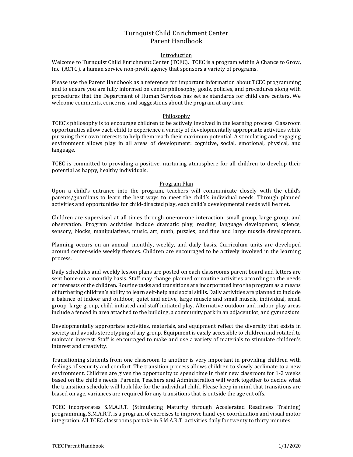# Turnquist Child Enrichment Center Parent Handbook

# Introduction

Welcome to Turnquist Child Enrichment Center (TCEC). TCEC is a program within A Chance to Grow, Inc. (ACTG), a human service non-profit agency that sponsors a variety of programs.

Please use the Parent Handbook as a reference for important information about TCEC programming and to ensure you are fully informed on center philosophy, goals, policies, and procedures along with procedures that the Department of Human Services has set as standards for child care centers. We welcome comments, concerns, and suggestions about the program at any time.

# Philosophy

TCEC's philosophy is to encourage children to be actively involved in the learning process. Classroom opportunities allow each child to experience a variety of developmentally appropriate activities while pursuing their own interests to help them reach their maximum potential. A stimulating and engaging environment allows play in all areas of development: cognitive, social, emotional, physical, and language.

TCEC is committed to providing a positive, nurturing atmosphere for all children to develop their potential as happy, healthy individuals.

#### Program Plan

Upon a child's entrance into the program, teachers will communicate closely with the child's parents/guardians to learn the best ways to meet the child's individual needs. Through planned activities and opportunities for child-directed play, each child's developmental needs will be met.

Children are supervised at all times through one-on-one interaction, small group, large group, and observation. Program activities include dramatic play, reading, language development, science, sensory, blocks, manipulatives, music, art, math, puzzles, and fine and large muscle development.

Planning occurs on an annual, monthly, weekly, and daily basis. Curriculum units are developed around center-wide weekly themes. Children are encouraged to be actively involved in the learning process.

Daily schedules and weekly lesson plans are posted on each classrooms parent board and letters are sent home on a monthly basis. Staff may change planned or routine activities according to the needs or interests of the children. Routine tasks and transitions are incorporated into the program as a means of furthering children's ability to learn self-help and social skills. Daily activities are planned to include a balance of indoor and outdoor, quiet and active, large muscle and small muscle, individual, small group, large group, child initiated and staff initiated play. Alternative outdoor and indoor play areas include a fenced in area attached to the building, a community park in an adjacent lot, and gymnasium.

Developmentally appropriate activities, materials, and equipment reflect the diversity that exists in society and avoids stereotyping of any group. Equipment is easily accessible to children and rotated to maintain interest. Staff is encouraged to make and use a variety of materials to stimulate children's interest and creativity.

Transitioning students from one classroom to another is very important in providing children with feelings of security and comfort. The transition process allows children to slowly acclimate to a new environment. Children are given the opportunity to spend time in their new classroom for 1-2 weeks based on the child's needs. Parents, Teachers and Administration will work together to decide what the transition schedule will look like for the individual child. Please keep in mind that transitions are biased on age, variances are required for any transitions that is outside the age cut offs.

TCEC incorporates S.M.A.R.T. (Stimulating Maturity through Accelerated Readiness Training) programming. S.M.A.R.T. is a program of exercises to improve hand-eye coordination and visual motor integration. All TCEC classrooms partake in S.M.A.R.T. activities daily for twenty to thirty minutes.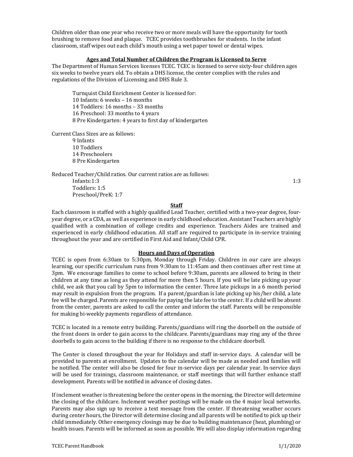Children older than one year who receive two or more meals will have the opportunity for tooth brushing to remove food and plaque. TCEC provides toothbrushes for students. In the infant classroom, staff wipes out each child's mouth using a wet paper towel or dental wipes.

#### **Ages and Total Number of Children the Program is Licensed to Serve**

The Department of Human Services licenses TCEC. TCEC is licensed to serve sixty-four children ages six weeks to twelve years old. To obtain a DHS license, the center complies with the rules and regulations of the Division of Licensing and DHS Rule 3.

Turnquist Child Enrichment Center is licensed for: 10 Infants: 6 weeks - 16 months 14 Toddlers: 16 months - 33 months 16 Preschool: 33 months to 4 years 8 Pre Kindergarten: 4 years to first day of kindergarten

Current Class Sizes are as follows: 9 Infants 10 Toddlers 14 Preschoolers

8 Pre Kindergarten 

Reduced Teacher/Child ratios. Our current ratios are as follows: Infants:1:3  $\qquad \qquad \qquad$  1:3 Toddlers: 1:5 Preschool/PreK: 1:7

### **Staff**

Each classroom is staffed with a highly qualified Lead Teacher, certified with a two-year degree, fouryear degree, or a CDA, as well as experience in early childhood education. Assistant Teachers are highly qualified with a combination of college credits and experience. Teachers Aides are trained and experienced in early childhood education. All staff are required to participate in in-service training throughout the year and are certified in First Aid and Infant/Child CPR.

#### **Hours and Days of Operation**

TCEC is open from 6:30am to 5:30pm, Monday through Friday. Children in our care are always learning, our specific curriculum runs from 9:30am to 11:45am and then continues after rest time at 3pm. We encourage families to come to school before 9:30am, parents are allowed to bring in their children at any time as long as they attend for more then 5 hours. If you will be late picking up your child, we ask that you call by 5pm to information the center. Three late pickups in a 6 month period may result in expulsion from the program. If a parent/guardian is late picking up his/her child, a late fee will be charged. Parents are responsible for paying the late fee to the center. If a child will be absent from the center, parents are asked to call the center and inform the staff. Parents will be responsible for making bi-weekly payments regardless of attendance.

TCEC is located in a remote entry building. Parents/guardians will ring the doorbell on the outside of the front doors in order to gain access to the childcare. Parents/guardians may ring any of the three doorbells to gain access to the building if there is no response to the childcare doorbell.

The Center is closed throughout the year for Holidays and staff in-service days. A calendar will be provided to parents at enrollment. Updates to the calendar will be made as needed and families will be notified. The center will also be closed for four in-service days per calendar year. In-service days will be used for trainings, classroom maintenance, or staff meetings that will further enhance staff development. Parents will be notified in advance of closing dates.

If inclement weather is threatening before the center opens in the morning, the Director will determine the closing of the childcare. Inclement weather postings will be made on the 4 major local networks. Parents may also sign up to receive a text message from the center. If threatening weather occurs during center hours, the Director will determine closing and all parents will be notified to pick up their child immediately. Other emergency closings may be due to building maintenance (heat, plumbing) or health issues. Parents will be informed as soon as possible. We will also display information regarding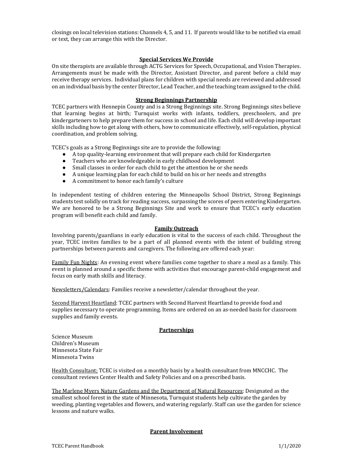closings on local television stations: Channels 4, 5, and 11. If parents would like to be notified via email or text, they can arrange this with the Director.

### **Special Services We Provide**

On site therapists are available through ACTG Services for Speech, Occupational, and Vision Therapies. Arrangements must be made with the Director, Assistant Director, and parent before a child may receive therapy services. Individual plans for children with special needs are reviewed and addressed on an individual basis by the center Director, Lead Teacher, and the teaching team assigned to the child.

# **Strong Beginnings Partnership**

TCEC partners with Hennepin County and is a Strong Beginnings site. Strong Beginnings sites believe that learning begins at birth; Turnquist works with infants, toddlers, preschoolers, and pre kindergarteners to help prepare them for success in school and life. Each child will develop important skills including how to get along with others, how to communicate effectively, self-regulation, physical coordination, and problem solving.

TCEC's goals as a Strong Beginnings site are to provide the following:

- A top quality-learning environment that will prepare each child for Kindergarten
- Teachers who are knowledgeable in early childhood development
- Small classes in order for each child to get the attention he or she needs
- A unique learning plan for each child to build on his or her needs and strengths
- A commitment to honor each family's culture

In independent testing of children entering the Minneapolis School District, Strong Beginnings students test solidly on track for reading success, surpassing the scores of peers entering Kindergarten. We are honored to be a Strong Beginnings Site and work to ensure that TCEC's early education program will benefit each child and family.

#### **Family Outreach**

Involving parents/guardians in early education is vital to the success of each child. Throughout the year, TCEC invites families to be a part of all planned events with the intent of building strong partnerships between parents and caregivers. The following are offered each year:

Family Fun Nights: An evening event where families come together to share a meal as a family. This event is planned around a specific theme with activities that encourage parent-child engagement and focus on early math skills and literacy.

Newsletters/Calendars: Families receive a newsletter/calendar throughout the year.

Second Harvest Heartland: TCEC partners with Second Harvest Heartland to provide food and supplies necessary to operate programming. Items are ordered on an as-needed basis for classroom supplies and family events.

# **Partnerships**

Science Museum Children's Museum Minnesota State Fair Minnesota Twins

Health Consultant: TCEC is visited on a monthly basis by a health consultant from MNCCHC. The consultant reviews Center Health and Safety Policies and on a prescribed basis.

The Marlene Myers Nature Gardens and the Department of Natural Resources: Designated as the smallest school forest in the state of Minnesota, Turnquist students help cultivate the garden by weeding, planting vegetables and flowers, and watering regularly. Staff can use the garden for science lessons and nature walks.

# **Parent Involvement**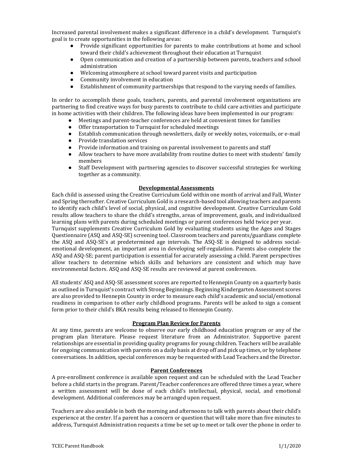Increased parental involvement makes a significant difference in a child's development. Turnquist's goal is to create opportunities in the following areas:

- Provide significant opportunities for parents to make contributions at home and school toward their child's achievement throughout their education at Turnquist
- Open communication and creation of a partnership between parents, teachers and school administration
- Welcoming atmosphere at school toward parent visits and participation
- Community involvement in education
- Establishment of community partnerships that respond to the varying needs of families.

In order to accomplish these goals, teachers, parents, and parental involvement organizations are partnering to find creative ways for busy parents to contribute to child care activities and participate in home activities with their children. The following ideas have been implemented in our program:

- Meetings and parent-teacher conferences are held at convenient times for families
- Offer transportation to Turnquist for scheduled meetings
- Establish communication through newsletters, daily or weekly notes, voicemails, or e-mail
- Provide translation services
- Provide information and training on parental involvement to parents and staff
- Allow teachers to have more availability from routine duties to meet with students' family members
- Staff Development with partnering agencies to discover successful strategies for working together as a community.

#### **Developmental Assessments**

Each child is assessed using the Creative Curriculum Gold within one month of arrival and Fall, Winter and Spring thereafter. Creative Curriculum Gold is a research-based tool allowing teachers and parents to identify each child's level of social, physical, and cognitive development. Creative Curriculum Gold results allow teachers to share the child's strengths, areas of improvement, goals, and individualized learning plans with parents during scheduled meetings or parent conferences held twice per year.

Turnquist supplements Creative Curriculum Gold by evaluating students using the Ages and Stages Questionnaire (ASQ and ASQ-SE) screening tool. Classroom teachers and parents/guardians complete the ASQ and ASQ-SE's at predetermined age intervals. The ASQ-SE is designed to address socialemotional development, an important area in developing self-regulation. Parents also complete the ASQ and ASQ-SE; parent participation is essential for accurately assessing a child. Parent perspectives allow teachers to determine which skills and behaviors are consistent and which may have environmental factors. ASQ and ASQ-SE results are reviewed at parent conferences.

All students' ASQ and ASQ-SE assessment scores are reported to Hennepin County on a quarterly basis as outlined in Turnquist's contract with Strong Beginnings. Beginning Kindergarten Assessment scores are also provided to Hennepin County in order to measure each child's academic and social/emotional readiness in comparison to other early childhood programs. Parents will be asked to sign a consent form prior to their child's BKA results being released to Hennepin County.

#### **Program Plan Review for Parents**

At any time, parents are welcome to observe our early childhood education program or any of the program plan literature. Please request literature from an Administrator. Supportive parent relationships are essential in providing quality programs for young children. Teachers will be available for ongoing communication with parents on a daily basis at drop off and pick up times, or by telephone conversations. In addition, special conferences may be requested with Lead Teachers and the Director.

# **Parent Conferences**

A pre-enrollment conference is available upon request and can be scheduled with the Lead Teacher before a child starts in the program. Parent/Teacher conferences are offered three times a year, where a written assessment will be done of each child's intellectual, physical, social, and emotional development. Additional conferences may be arranged upon request.

Teachers are also available in both the morning and afternoons to talk with parents about their child's experience at the center. If a parent has a concern or question that will take more than five minutes to address, Turnquist Administration requests a time be set up to meet or talk over the phone in order to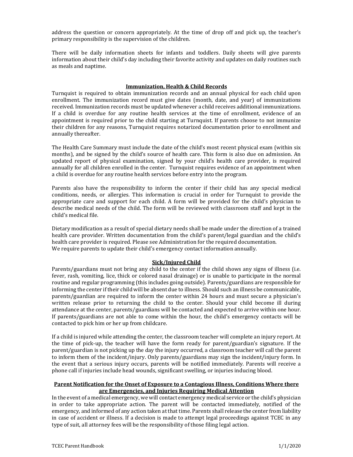address the question or concern appropriately. At the time of drop off and pick up, the teacher's primary responsibility is the supervision of the children.

There will be daily information sheets for infants and toddlers. Daily sheets will give parents information about their child's day including their favorite activity and updates on daily routines such as meals and naptime.

# **Immunization, Health & Child Records**

Turnquist is required to obtain immunization records and an annual physical for each child upon enrollment. The immunization record must give dates (month, date, and year) of immunizations received. Immunization records must be updated whenever a child receives additional immunizations. If a child is overdue for any routine health services at the time of enrollment, evidence of an appointment is required prior to the child starting at Turnquist. If parents choose to not immunize their children for any reasons, Turnquist requires notarized documentation prior to enrollment and annually thereafter.

The Health Care Summary must include the date of the child's most recent physical exam (within six months), and be signed by the child's source of health care. This form is also due on admission. An updated report of physical examination, signed by your child's health care provider, is required annually for all children enrolled in the center. Turnquist requires evidence of an appointment when a child is overdue for any routine health services before entry into the program.

Parents also have the responsibility to inform the center if their child has any special medical conditions, needs, or allergies. This information is crucial in order for Turnquist to provide the appropriate care and support for each child. A form will be provided for the child's physician to describe medical needs of the child. The form will be reviewed with classroom staff and kept in the child's medical file.

Dietary modification as a result of special dietary needs shall be made under the direction of a trained health care provider. Written documentation from the child's parent/legal guardian and the child's health care provider is required. Please see Administration for the required documentation. We require parents to update their child's emergency contact information annually.

# **Sick/Injured Child**

Parents/guardians must not bring any child to the center if the child shows any signs of illness (i.e. fever, rash, vomiting, lice, thick or colored nasal drainage) or is unable to participate in the normal routine and regular programming (this includes going outside). Parents/guardians are responsible for informing the center if their child will be absent due to illness. Should such an illness be communicable, parents/guardian are required to inform the center within 24 hours and must secure a physician's written release prior to returning the child to the center. Should your child become ill during attendance at the center, parents/guardians will be contacted and expected to arrive within one hour. If parents/guardians are not able to come within the hour, the child's emergency contacts will be contacted to pick him or her up from childcare.

If a child is injured while attending the center, the classroom teacher will complete an injury report. At the time of pick-up, the teacher will have the form ready for parent/guardian's signature. If the parent/guardian is not picking up the day the injury occurred, a classroom teacher will call the parent to inform them of the incident/injury. Only parents/guardians may sign the incident/injury form. In the event that a serious injury occurs, parents will be notified immediately. Parents will receive a phone call if injuries include head wounds, significant swelling, or injuries inducing blood.

# **Parent Notification for the Onset of Exposure to a Contagious Illness, Conditions Where there are Emergencies, and Injuries Requiring Medical Attention**

In the event of a medical emergency, we will contact emergency medical service or the child's physician in order to take appropriate action. The parent will be contacted immediately, notified of the emergency, and informed of any action taken at that time. Parents shall release the center from liability in case of accident or illness. If a decision is made to attempt legal proceedings against TCEC in any type of suit, all attorney fees will be the responsibility of those filing legal action.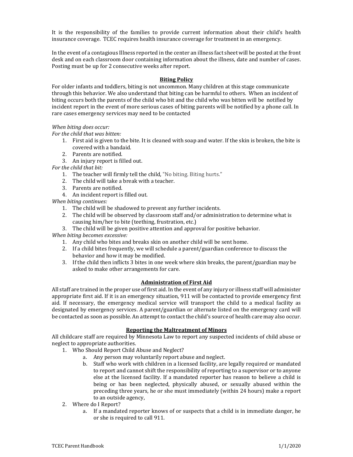It is the responsibility of the families to provide current information about their child's health insurance coverage. TCEC requires health insurance coverage for treatment in an emergency.

In the event of a contagious Illness reported in the center an illness fact sheet will be posted at the front desk and on each classroom door containing information about the illness, date and number of cases. Posting must be up for 2 consecutive weeks after report.

# **Biting Policy**

For older infants and toddlers, biting is not uncommon. Many children at this stage communicate through this behavior. We also understand that biting can be harmful to others. When an incident of biting occurs both the parents of the child who bit and the child who was bitten will be notified by incident report in the event of more serious cases of biting parents will be notified by a phone call. In rare cases emergency services may need to be contacted

# *When biting does occur:*

For the child that was bitten:

- 1. First aid is given to the bite. It is cleaned with soap and water. If the skin is broken, the bite is covered with a bandaid.
- 2. Parents are notified.
- 3. An injury report is filled out.
- For the child that bit:
	- 1. The teacher will firmly tell the child, "No biting. Biting hurts."
	- 2. The child will take a break with a teacher.
	- 3. Parents are notified.
	- 4. An incident report is filled out.

*When biting continues:*

- 1. The child will be shadowed to prevent any further incidents.
- 2. The child will be observed by classroom staff and/or administration to determine what is causing him/her to bite (teething, frustration, etc.)
- 3. The child will be given positive attention and approval for positive behavior.

*When biting becomes excessive:*

- 1. Any child who bites and breaks skin on another child will be sent home.
- 2. If a child bites frequently, we will schedule a parent/guardian conference to discuss the behavior and how it may be modified.
- 3. If the child then inflicts 3 bites in one week where skin breaks, the parent/guardian may be asked to make other arrangements for care.

# **Administration of First Aid**

All staff are trained in the proper use of first aid. In the event of any injury or illness staff will administer appropriate first aid. If it is an emergency situation, 911 will be contacted to provide emergency first aid. If necessary, the emergency medical service will transport the child to a medical facility as designated by emergency services. A parent/guardian or alternate listed on the emergency card will be contacted as soon as possible. An attempt to contact the child's source of health care may also occur.

# **Reporting the Maltreatment of Minors**

All childcare staff are required by Minnesota Law to report any suspected incidents of child abuse or neglect to appropriate authorities.

- 1. Who Should Report Child Abuse and Neglect?
	- a. Any person may voluntarily report abuse and neglect.
	- b. Staff who work with children in a licensed facility, are legally required or mandated to report and cannot shift the responsibility of reporting to a supervisor or to anyone else at the licensed facility. If a mandated reporter has reason to believe a child is being or has been neglected, physically abused, or sexually abused within the preceding three years, he or she must immediately (within 24 hours) make a report to an outside agency,
- 2. Where do I Report?
	- a. If a mandated reporter knows of or suspects that a child is in immediate danger, he or she is required to call 911.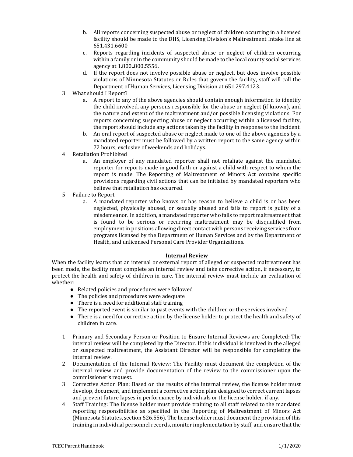- b. All reports concerning suspected abuse or neglect of children occurring in a licensed facility should be made to the DHS, Licensing Division's Maltreatment Intake line at 651.431.6600
- c. Reports regarding incidents of suspected abuse or neglect of children occurring within a family or in the community should be made to the local county social services agency at 1.800..800.5556.
- d. If the report does not involve possible abuse or neglect, but does involve possible violations of Minnesota Statutes or Rules that govern the facility, staff will call the Department of Human Services, Licensing Division at 651.297.4123.
- 3. What should I Report?
	- a. A report to any of the above agencies should contain enough information to identify the child involved, any persons responsible for the abuse or neglect (if known), and the nature and extent of the maltreatment and/or possible licensing violations. For reports concerning suspecting abuse or neglect occurring within a licensed facility, the report should include any actions taken by the facility in response to the incident.
	- b. An oral report of suspected abuse or neglect made to one of the above agencies by a mandated reporter must be followed by a written report to the same agency within 72 hours, exclusive of weekends and holidays.
- 4. Retaliation Prohibited
	- a. An employer of any mandated reporter shall not retaliate against the mandated reporter for reports made in good faith or against a child with respect to whom the report is made. The Reporting of Maltreatment of Minors Act contains specific provisions regarding civil actions that can be initiated by mandated reporters who believe that retaliation has occurred.
- 5. Failure to Report
	- a. A mandated reporter who knows or has reason to believe a child is or has been neglected, physically abused, or sexually abused and fails to report is guilty of a misdemeanor. In addition, a mandated reporter who fails to report maltreatment that is found to be serious or recurring maltreatment may be disqualified from employment in positions allowing direct contact with persons receiving services from programs licensed by the Department of Human Services and by the Department of Health, and unlicensed Personal Care Provider Organizations.

# **Internal Review**

When the facility learns that an internal or external report of alleged or suspected maltreatment has been made, the facility must complete an internal review and take corrective action, if necessary, to protect the health and safety of children in care. The internal review must include an evaluation of whether:

- Related policies and procedures were followed
- The policies and procedures were adequate
- $\bullet$  There is a need for additional staff training
- The reported event is similar to past events with the children or the services involved
- There is a need for corrective action by the license holder to protect the health and safety of children in care.
- 1. Primary and Secondary Person or Position to Ensure Internal Reviews are Completed: The internal review will be completed by the Director. If this individual is involved in the alleged or suspected maltreatment, the Assistant Director will be responsible for completing the internal review.
- 2. Documentation of the Internal Review: The Facility must document the completion of the internal review and provide documentation of the review to the commissioner upon the commissioner's request.
- 3. Corrective Action Plan: Based on the results of the internal review, the license holder must develop, document, and implement a corrective action plan designed to correct current lapses and prevent future lapses in performance by individuals or the license holder, if any.
- 4. Staff Training: The license holder must provide training to all staff related to the mandated reporting responsibilities as specified in the Reporting of Maltreatment of Minors Act (Minnesota Statutes, section 626.556). The license holder must document the provision of this training in individual personnel records, monitor implementation by staff, and ensure that the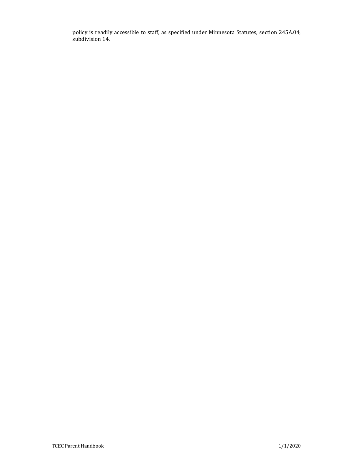policy is readily accessible to staff, as specified under Minnesota Statutes, section 245A.04, subdivision 14.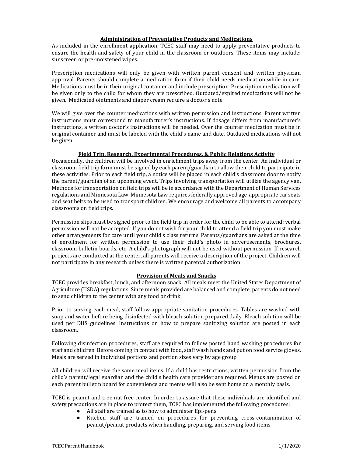# **Administration of Preventative Products and Medications**

As included in the enrollment application, TCEC staff may need to apply preventative products to ensure the health and safety of your child in the classroom or outdoors. These items may include: sunscreen or pre-moistened wipes.

Prescription medications will only be given with written parent consent and written physician approval. Parents should complete a medication form if their child needs medication while in care. Medications must be in their original container and include prescription. Prescription medication will be given only to the child for whom they are prescribed. Outdated/expired medications will not be given. Medicated ointments and diaper cream require a doctor's note.

We will give over the counter medications with written permission and instructions. Parent written instructions must correspond to manufacturer's instructions. If dosage differs from manufacturer's instructions, a written doctor's instructions will be needed. Over the counter medication must be in original container and must be labeled with the child's name and date. Outdated medications will not be given.

# **Field Trip, Research, Experimental Procedures, & Public Relations Activity**

Occasionally, the children will be involved in enrichment trips away from the center. An individual or classroom field trip form must be signed by each parent/guardian to allow their child to participate in these activities. Prior to each field trip, a notice will be placed in each child's classroom door to notify the parent/guardian of an upcoming event. Trips involving transportation will utilize the agency van. Methods for transportation on field trips will be in accordance with the Department of Human Services regulations and Minnesota Law. Minnesota Law requires federally approved age-appropriate car seats and seat belts to be used to transport children. We encourage and welcome all parents to accompany classrooms on field trips.

Permission slips must be signed prior to the field trip in order for the child to be able to attend; verbal permission will not be accepted. If you do not wish for your child to attend a field trip you must make other arrangements for care until your child's class returns. Parents/guardians are asked at the time of enrollment for written permission to use their child's photo in advertisements, brochures, classroom bulletin boards, etc. A child's photograph will not be used without permission. If research projects are conducted at the center, all parents will receive a description of the project. Children will not participate in any research unless there is written parental authorization.

#### **Provision of Meals and Snacks**

TCEC provides breakfast, lunch, and afternoon snack. All meals meet the United States Department of Agriculture (USDA) regulations. Since meals provided are balanced and complete, parents do not need to send children to the center with any food or drink.

Prior to serving each meal, staff follow appropriate sanitation procedures. Tables are washed with soap and water before being disinfected with bleach solution prepared daily. Bleach solution will be used per DHS guidelines. Instructions on how to prepare sanitizing solution are posted in each classroom. 

Following disinfection procedures, staff are required to follow posted hand washing procedures for staff and children. Before coming in contact with food, staff wash hands and put on food service gloves. Meals are served in individual portions and portion sizes vary by age group.

All children will receive the same meal items. If a child has restrictions, written permission from the child's parent/legal guardian and the child's health care provider are required. Menus are posted on each parent bulletin board for convenience and menus will also be sent home on a monthly basis.

TCEC is peanut and tree nut free center. In order to assure that these individuals are identified and safety precautions are in place to protect them, TCEC has implemented the following procedures:

- All staff are trained as to how to administer Epi-pens
- Kitchen staff are trained on procedures for preventing cross-contamination of peanut/peanut products when handling, preparing, and serving food items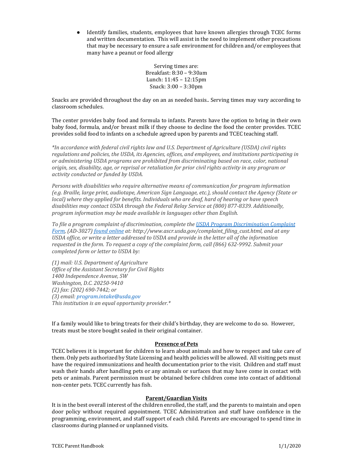• Identify families, students, employees that have known allergies through TCEC forms and written documentation. This will assist in the need to implement other precautions that may be necessary to ensure a safe environment for children and/or employees that many have a peanut or food allergy

> Serving times are: Breakfast: 8:30 – 9:30am Lunch: 11:45 - 12:15pm Snack: 3:00 – 3:30pm

Snacks are provided throughout the day on an as needed basis.. Serving times may vary according to classroom schedules.

The center provides baby food and formula to infants. Parents have the option to bring in their own baby food, formula, and/or breast milk if they choose to decline the food the center provides. TCEC provides solid food to infants on a schedule agreed upon by parents and TCEC teaching staff.

*\*In accordance with federal civil rights law and U.S. Department of Agriculture (USDA) civil rights* regulations and policies, the USDA, its Agencies, offices, and employees, and institutions participating in or administering USDA programs are prohibited from discriminating based on race, color, national *origin, sex, disability, age, or reprisal or retaliation for prior civil rights activity in any program or activity conducted or funded by USDA.*

*Persons* with disabilities who require alternative means of communication for program information *(e.g. Braille, large print, audiotape, American Sign Language, etc.), should contact the Agency (State or local*) where they applied for benefits. Individuals who are deaf, hard of hearing or have speech disabilities may contact USDA through the Federal Relay Service at (800) 877-8339. Additionally, program information may be made available in languages other than English.

To file a program complaint of discrimination, complete the **USDA Program Discrimination Complaint** *Form,* (AD-3027) *found online at: http://www.ascr.usda.gov/complaint\_filing\_cust.html, and at any* USDA office, or write a letter addressed to USDA and provide in the letter all of the information *requested in the form. To request a copy of the complaint form, call (866) 632-9992. Submit your* completed form or letter to USDA by:

*(1) mail: U.S. Department of Agriculture Office of the Assistant Secretary for Civil Rights 1400 Independence Avenue, SW Washington, D.C. 20250-9410 (2) fax: (202) 690-7442; or (3) email: program.intake@usda.gov* This institution is an equal opportunity provider.\*

If a family would like to bring treats for their child's birthday, they are welcome to do so. However, treats must be store bought sealed in their original container.

# **Presence of Pets**

TCEC believes it is important for children to learn about animals and how to respect and take care of them. Only pets authorized by State Licensing and health policies will be allowed. All visiting pets must have the required immunizations and health documentation prior to the visit. Children and staff must wash their hands after handling pets or any animals or surfaces that may have come in contact with pets or animals. Parent permission must be obtained before children come into contact of additional non-center pets. TCEC currently has fish.

# **Parent/Guardian Visits**

It is in the best overall interest of the children enrolled, the staff, and the parents to maintain and open door policy without required appointment. TCEC Administration and staff have confidence in the programming, environment, and staff support of each child. Parents are encouraged to spend time in classrooms during planned or unplanned visits.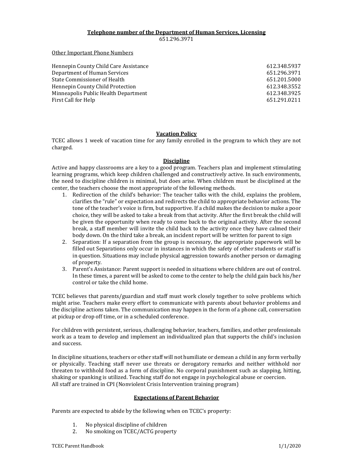# **Telephone number of the Department of Human Services, Licensing** 651.296.3971

Other Important Phone Numbers

Hennepin County Child Care Assistance 612.348.5937 Department of Human Services 651.296.3971 State Commissioner of Health 651.201.5000 Hennepin County Child Protection 612.348.3552 Minneapolis Public Health Department 612.348.3925 First Call for Help 651.291.0211

### **Vacation Policy**

TCEC allows 1 week of vacation time for any family enrolled in the program to which they are not charged.

# **Discipline**

Active and happy classrooms are a key to a good program. Teachers plan and implement stimulating learning programs, which keep children challenged and constructively active. In such environments, the need to discipline children is minimal, but does arise. When children must be disciplined at the center, the teachers choose the most appropriate of the following methods.

- 1. Redirection of the child's behavior: The teacher talks with the child, explains the problem, clarifies the "rule" or expectation and redirects the child to appropriate behavior actions. The tone of the teacher's voice is firm, but supportive. If a child makes the decision to make a poor choice, they will be asked to take a break from that activity. After the first break the child will be given the opportunity when ready to come back to the original activity. After the second break, a staff member will invite the child back to the activity once they have calmed their body down. On the third take a break, an incident report will be written for parent to sign
- 2. Separation: If a separation from the group is necessary, the appropriate paperwork will be filled out Separations only occur in instances in which the safety of other students or staff is in question. Situations may include physical aggression towards another person or damaging of property.
- 3. Parent's Assistance: Parent support is needed in situations where children are out of control. In these times, a parent will be asked to come to the center to help the child gain back his/her control or take the child home.

TCEC believes that parents/guardian and staff must work closely together to solve problems which might arise. Teachers make every effort to communicate with parents about behavior problems and the discipline actions taken. The communication may happen in the form of a phone call, conversation at pickup or drop off time, or in a scheduled conference.

For children with persistent, serious, challenging behavior, teachers, families, and other professionals work as a team to develop and implement an individualized plan that supports the child's inclusion and success.

In discipline situations, teachers or other staff will not humiliate or demean a child in any form verbally or physically. Teaching staff never use threats or derogatory remarks and neither withhold nor threaten to withhold food as a form of discipline. No corporal punishment such as slapping, hitting, shaking or spanking is utilized. Teaching staff do not engage in psychological abuse or coercion. All staff are trained in CPI (Nonviolent Crisis Intervention training program)

# **Expectations of Parent Behavior**

Parents are expected to abide by the following when on TCEC's property:

- 1. No physical discipline of children
- 2. No smoking on TCEC/ACTG property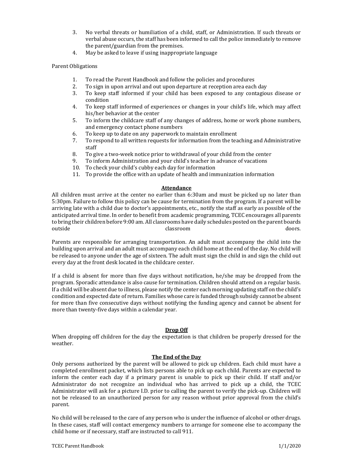- 3. No verbal threats or humiliation of a child, staff, or Administration. If such threats or verbal abuse occurs, the staff has been informed to call the police immediately to remove the parent/guardian from the premises.
- 4. May be asked to leave if using inappropriate language

# Parent Obligations

- 1. To read the Parent Handbook and follow the policies and procedures
- 2. To sign in upon arrival and out upon departure at reception area each day
- 3. To keep staff informed if your child has been exposed to any contagious disease or condition
- 4. To keep staff informed of experiences or changes in your child's life, which may affect his/her behavior at the center
- 5. To inform the childcare staff of any changes of address, home or work phone numbers, and emergency contact phone numbers
- 6. To keep up to date on any paperwork to maintain enrollment
- 7. To respond to all written requests for information from the teaching and Administrative staff
- 8. To give a two-week notice prior to withdrawal of your child from the center
- 9. To inform Administration and your child's teacher in advance of vacations
- 10. To check your child's cubby each day for information
- 11. To provide the office with an update of health and immunization information

### **Attendance**

All children must arrive at the center no earlier than  $6:30$ am and must be picked up no later than 5:30pm. Failure to follow this policy can be cause for termination from the program. If a parent will be arriving late with a child due to doctor's appointments, etc., notify the staff as early as possible of the anticipated arrival time. In order to benefit from academic programming, TCEC encourages all parents to bring their children before 9:00 am. All classrooms have daily schedules posted on the parent boards outside classroom doors.

Parents are responsible for arranging transportation. An adult must accompany the child into the building upon arrival and an adult must accompany each child home at the end of the day. No child will be released to anyone under the age of sixteen. The adult must sign the child in and sign the child out every day at the front desk located in the childcare center.

If a child is absent for more than five days without notification,  $he/she$  may be dropped from the program. Sporadic attendance is also cause for termination. Children should attend on a regular basis. If a child will be absent due to illness, please notify the center each morning updating staff on the child's condition and expected date of return. Families whose care is funded through subsidy cannot be absent for more than five consecutive days without notifying the funding agency and cannot be absent for more than twenty-five days within a calendar year.

# **Drop Off**

When dropping off children for the day the expectation is that children be properly dressed for the weather. 

# **The End of the Day**

Only persons authorized by the parent will be allowed to pick up children. Each child must have a completed enrollment packet, which lists persons able to pick up each child. Parents are expected to inform the center each day if a primary parent is unable to pick up their child. If staff and/or Administrator do not recognize an individual who has arrived to pick up a child, the TCEC Administrator will ask for a picture I.D. prior to calling the parent to verify the pick-up. Children will not be released to an unauthorized person for any reason without prior approval from the child's parent.

No child will be released to the care of any person who is under the influence of alcohol or other drugs. In these cases, staff will contact emergency numbers to arrange for someone else to accompany the child home or if necessary, staff are instructed to call 911.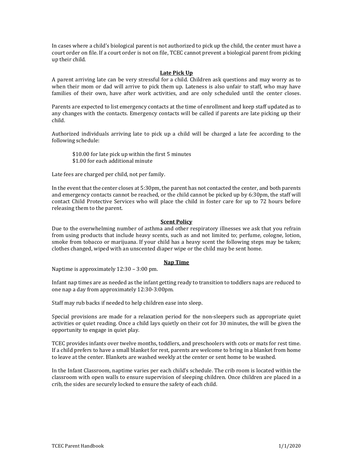In cases where a child's biological parent is not authorized to pick up the child, the center must have a court order on file. If a court order is not on file, TCEC cannot prevent a biological parent from picking up their child.

# Late Pick Up

A parent arriving late can be very stressful for a child. Children ask questions and may worry as to when their mom or dad will arrive to pick them up. Lateness is also unfair to staff, who may have families of their own, have after work activities, and are only scheduled until the center closes.

Parents are expected to list emergency contacts at the time of enrollment and keep staff updated as to any changes with the contacts. Emergency contacts will be called if parents are late picking up their child.

Authorized individuals arriving late to pick up a child will be charged a late fee according to the following schedule:

\$10.00 for late pick up within the first 5 minutes \$1.00 for each additional minute

Late fees are charged per child, not per family.

In the event that the center closes at 5:30pm, the parent has not contacted the center, and both parents and emergency contacts cannot be reached, or the child cannot be picked up by 6:30pm, the staff will contact Child Protective Services who will place the child in foster care for up to 72 hours before releasing them to the parent.

#### **Scent Policy**

Due to the overwhelming number of asthma and other respiratory illnesses we ask that you refrain from using products that include heavy scents, such as and not limited to; perfume, cologne, lotion, smoke from tobacco or marijuana. If your child has a heavy scent the following steps may be taken; clothes changed, wiped with an unscented diaper wipe or the child may be sent home.

#### **Nap Time**

Naptime is approximately  $12:30 - 3:00$  pm.

Infant nap times are as needed as the infant getting ready to transition to toddlers naps are reduced to one nap a day from approximately 12:30-3:00pm.

Staff may rub backs if needed to help children ease into sleep.

Special provisions are made for a relaxation period for the non-sleepers such as appropriate quiet activities or quiet reading. Once a child lays quietly on their cot for 30 minutes, the will be given the opportunity to engage in quiet play.

TCEC provides infants over twelve months, toddlers, and preschoolers with cots or mats for rest time. If a child prefers to have a small blanket for rest, parents are welcome to bring in a blanket from home to leave at the center. Blankets are washed weekly at the center or sent home to be washed.

In the Infant Classroom, naptime varies per each child's schedule. The crib room is located within the classroom with open walls to ensure supervision of sleeping children. Once children are placed in a crib, the sides are securely locked to ensure the safety of each child.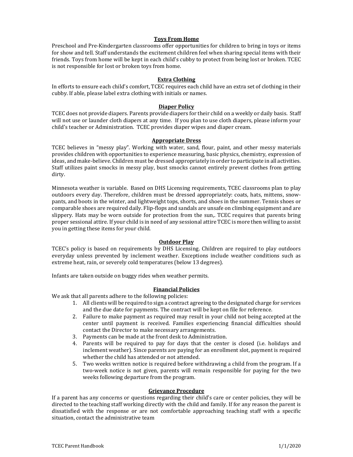# **Toys From Home**

Preschool and Pre-Kindergarten classrooms offer opportunities for children to bring in toys or items for show and tell. Staff understands the excitement children feel when sharing special items with their friends. Toys from home will be kept in each child's cubby to protect from being lost or broken. TCEC is not responsible for lost or broken toys from home.

### **Extra Clothing**

In efforts to ensure each child's comfort, TCEC requires each child have an extra set of clothing in their cubby. If able, please label extra clothing with initials or names.

### **Diaper Policy**

TCEC does not provide diapers. Parents provide diapers for their child on a weekly or daily basis. Staff will not use or launder cloth diapers at any time. If you plan to use cloth diapers, please inform your child's teacher or Administration. TCEC provides diaper wipes and diaper cream.

#### **Appropriate Dress**

TCEC believes in "messy play". Working with water, sand, flour, paint, and other messy materials provides children with opportunities to experience measuring, basic physics, chemistry, expression of ideas, and make-believe. Children must be dressed appropriately in order to participate in all activities. Staff utilizes paint smocks in messy play, bust smocks cannot entirely prevent clothes from getting dirty. 

Minnesota weather is variable. Based on DHS Licensing requirements, TCEC classrooms plan to play outdoors every day. Therefore, children must be dressed appropriately: coats, hats, mittens, snowpants, and boots in the winter, and lightweight tops, shorts, and shoes in the summer. Tennis shoes or comparable shoes are required daily. Flip-flops and sandals are unsafe on climbing equipment and are slippery. Hats may be worn outside for protection from the sun,. TCEC requires that parents bring proper sessional attire. If your child is in need of any sessional attire TCEC is more then willing to assist you in getting these items for your child.

#### **Outdoor Play**

TCEC's policy is based on requirements by DHS Licensing. Children are required to play outdoors everyday unless prevented by inclement weather. Exceptions include weather conditions such as extreme heat, rain, or severely cold temperatures (below 13 degrees).

Infants are taken outside on buggy rides when weather permits.

# **Financial Policies**

We ask that all parents adhere to the following policies:

- 1. All clients will be required to sign a contract agreeing to the designated charge for services and the due date for payments. The contract will be kept on file for reference.
- 2. Failure to make payment as required may result in your child not being accepted at the center until payment is received. Families experiencing financial difficulties should contact the Director to make necessary arrangements.
- 3. Payments can be made at the front desk to Administration.
- 4. Parents will be required to pay for days that the center is closed (i.e. holidays and inclement weather). Since parents are paying for an enrollment slot, payment is required whether the child has attended or not attended.
- 5. Two weeks written notice is required before withdrawing a child from the program. If a two-week notice is not given, parents will remain responsible for paying for the two weeks following departure from the program.

#### **Grievance Procedure**

If a parent has any concerns or questions regarding their child's care or center policies, they will be directed to the teaching staff working directly with the child and family. If for any reason the parent is dissatisfied with the response or are not comfortable approaching teaching staff with a specific situation, contact the administrative team